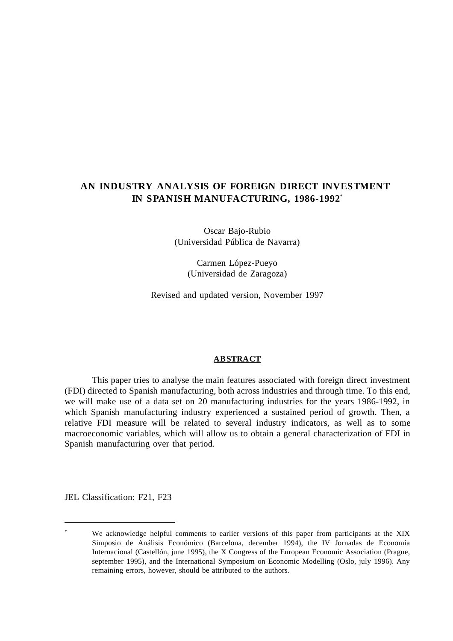## **AN INDUSTRY ANALYSIS OF FOREIGN DIRECT INVESTMENT IN SPANISH MANUFACTURING, 1986-1992**\*

Oscar Bajo-Rubio (Universidad Pública de Navarra)

> Carmen López-Pueyo (Universidad de Zaragoza)

Revised and updated version, November 1997

### **ABSTRACT**

This paper tries to analyse the main features associated with foreign direct investment (FDI) directed to Spanish manufacturing, both across industries and through time. To this end, we will make use of a data set on 20 manufacturing industries for the years 1986-1992, in which Spanish manufacturing industry experienced a sustained period of growth. Then, a relative FDI measure will be related to several industry indicators, as well as to some macroeconomic variables, which will allow us to obtain a general characterization of FDI in Spanish manufacturing over that period.

JEL Classification: F21, F23

 $\overline{a}$ 

We acknowledge helpful comments to earlier versions of this paper from participants at the XIX Simposio de Análisis Económico (Barcelona, december 1994), the IV Jornadas de Economía Internacional (Castellón, june 1995), the X Congress of the European Economic Association (Prague, september 1995), and the International Symposium on Economic Modelling (Oslo, july 1996). Any remaining errors, however, should be attributed to the authors.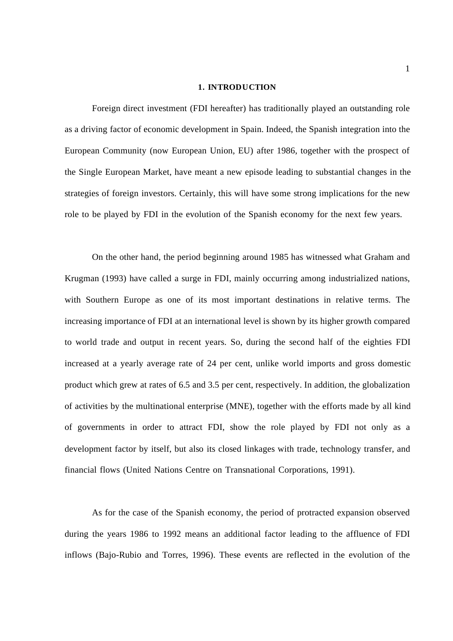#### **1. INTRODUCTION**

Foreign direct investment (FDI hereafter) has traditionally played an outstanding role as a driving factor of economic development in Spain. Indeed, the Spanish integration into the European Community (now European Union, EU) after 1986, together with the prospect of the Single European Market, have meant a new episode leading to substantial changes in the strategies of foreign investors. Certainly, this will have some strong implications for the new role to be played by FDI in the evolution of the Spanish economy for the next few years.

On the other hand, the period beginning around 1985 has witnessed what Graham and Krugman (1993) have called a surge in FDI, mainly occurring among industrialized nations, with Southern Europe as one of its most important destinations in relative terms. The increasing importance of FDI at an international level is shown by its higher growth compared to world trade and output in recent years. So, during the second half of the eighties FDI increased at a yearly average rate of 24 per cent, unlike world imports and gross domestic product which grew at rates of 6.5 and 3.5 per cent, respectively. In addition, the globalization of activities by the multinational enterprise (MNE), together with the efforts made by all kind of governments in order to attract FDI, show the role played by FDI not only as a development factor by itself, but also its closed linkages with trade, technology transfer, and financial flows (United Nations Centre on Transnational Corporations, 1991).

As for the case of the Spanish economy, the period of protracted expansion observed during the years 1986 to 1992 means an additional factor leading to the affluence of FDI inflows (Bajo-Rubio and Torres, 1996). These events are reflected in the evolution of the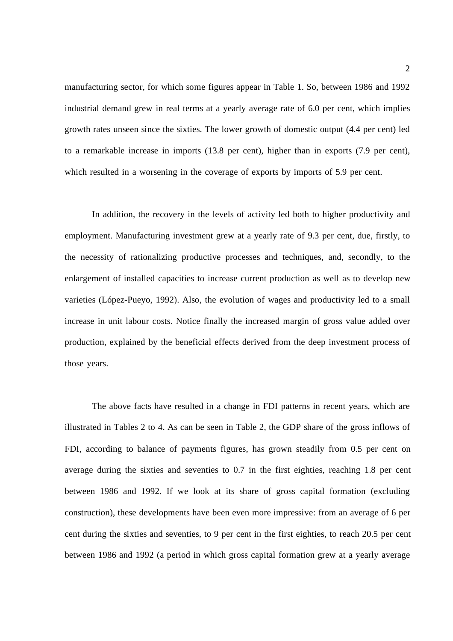manufacturing sector, for which some figures appear in Table 1. So, between 1986 and 1992 industrial demand grew in real terms at a yearly average rate of 6.0 per cent, which implies growth rates unseen since the sixties. The lower growth of domestic output (4.4 per cent) led to a remarkable increase in imports (13.8 per cent), higher than in exports (7.9 per cent), which resulted in a worsening in the coverage of exports by imports of 5.9 per cent.

In addition, the recovery in the levels of activity led both to higher productivity and employment. Manufacturing investment grew at a yearly rate of 9.3 per cent, due, firstly, to the necessity of rationalizing productive processes and techniques, and, secondly, to the enlargement of installed capacities to increase current production as well as to develop new varieties (López-Pueyo, 1992). Also, the evolution of wages and productivity led to a small increase in unit labour costs. Notice finally the increased margin of gross value added over production, explained by the beneficial effects derived from the deep investment process of those years.

The above facts have resulted in a change in FDI patterns in recent years, which are illustrated in Tables 2 to 4. As can be seen in Table 2, the GDP share of the gross inflows of FDI, according to balance of payments figures, has grown steadily from 0.5 per cent on average during the sixties and seventies to 0.7 in the first eighties, reaching 1.8 per cent between 1986 and 1992. If we look at its share of gross capital formation (excluding construction), these developments have been even more impressive: from an average of 6 per cent during the sixties and seventies, to 9 per cent in the first eighties, to reach 20.5 per cent between 1986 and 1992 (a period in which gross capital formation grew at a yearly average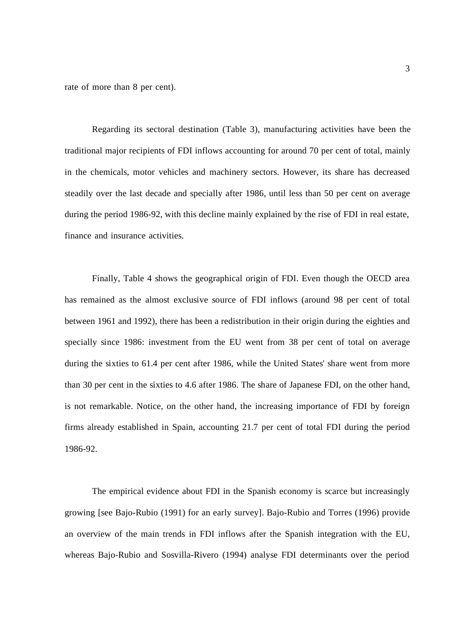rate of more than 8 per cent).

Regarding its sectoral destination (Table 3), manufacturing activities have been the traditional major recipients of FDI inflows accounting for around 70 per cent of total, mainly in the chemicals, motor vehicles and machinery sectors. However, its share has decreased steadily over the last decade and specially after 1986, until less than 50 per cent on average during the period 1986-92, with this decline mainly explained by the rise of FDI in real estate, finance and insurance activities.

Finally, Table 4 shows the geographical origin of FDI. Even though the OECD area has remained as the almost exclusive source of FDI inflows (around 98 per cent of total between 1961 and 1992), there has been a redistribution in their origin during the eighties and specially since 1986: investment from the EU went from 38 per cent of total on average during the sixties to 61.4 per cent after 1986, while the United States' share went from more than 30 per cent in the sixties to 4.6 after 1986. The share of Japanese FDI, on the other hand, is not remarkable. Notice, on the other hand, the increasing importance of FDI by foreign firms already established in Spain, accounting 21.7 per cent of total FDI during the period 1986-92.

The empirical evidence about FDI in the Spanish economy is scarce but increasingly growing [see Bajo-Rubio (1991) for an early survey]. Bajo-Rubio and Torres (1996) provide an overview of the main trends in FDI inflows after the Spanish integration with the EU, whereas Bajo-Rubio and Sosvilla-Rivero (1994) analyse FDI determinants over the period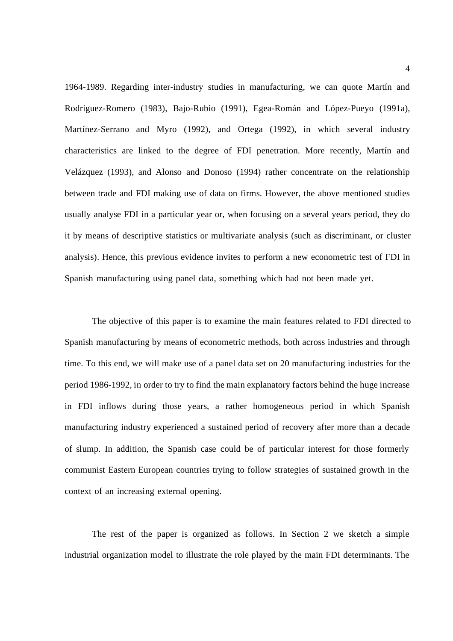1964-1989. Regarding inter-industry studies in manufacturing, we can quote Martín and Rodríguez-Romero (1983), Bajo-Rubio (1991), Egea-Román and López-Pueyo (1991a), Martínez-Serrano and Myro (1992), and Ortega (1992), in which several industry characteristics are linked to the degree of FDI penetration. More recently, Martín and Velázquez (1993), and Alonso and Donoso (1994) rather concentrate on the relationship between trade and FDI making use of data on firms. However, the above mentioned studies usually analyse FDI in a particular year or, when focusing on a several years period, they do it by means of descriptive statistics or multivariate analysis (such as discriminant, or cluster analysis). Hence, this previous evidence invites to perform a new econometric test of FDI in Spanish manufacturing using panel data, something which had not been made yet.

The objective of this paper is to examine the main features related to FDI directed to Spanish manufacturing by means of econometric methods, both across industries and through time. To this end, we will make use of a panel data set on 20 manufacturing industries for the period 1986-1992, in order to try to find the main explanatory factors behind the huge increase in FDI inflows during those years, a rather homogeneous period in which Spanish manufacturing industry experienced a sustained period of recovery after more than a decade of slump. In addition, the Spanish case could be of particular interest for those formerly communist Eastern European countries trying to follow strategies of sustained growth in the context of an increasing external opening.

The rest of the paper is organized as follows. In Section 2 we sketch a simple industrial organization model to illustrate the role played by the main FDI determinants. The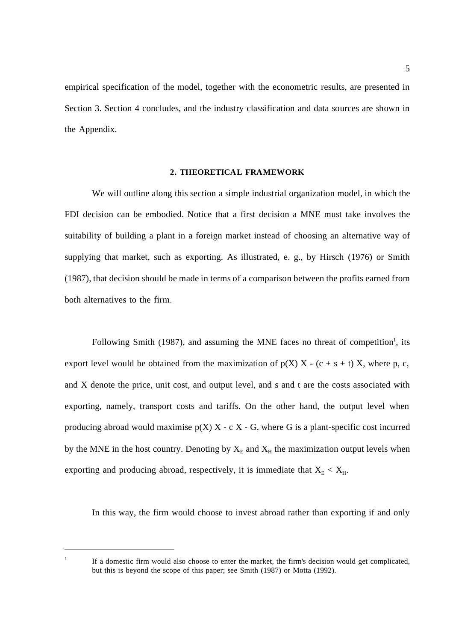empirical specification of the model, together with the econometric results, are presented in Section 3. Section 4 concludes, and the industry classification and data sources are shown in the Appendix.

### **2. THEORETICAL FRAMEWORK**

We will outline along this section a simple industrial organization model, in which the FDI decision can be embodied. Notice that a first decision a MNE must take involves the suitability of building a plant in a foreign market instead of choosing an alternative way of supplying that market, such as exporting. As illustrated, e. g., by Hirsch (1976) or Smith (1987), that decision should be made in terms of a comparison between the profits earned from both alternatives to the firm.

Following Smith (1987), and assuming the MNE faces no threat of competition<sup>1</sup>, its export level would be obtained from the maximization of  $p(X)$  X - (c + s + t) X, where p, c, and X denote the price, unit cost, and output level, and s and t are the costs associated with exporting, namely, transport costs and tariffs. On the other hand, the output level when producing abroad would maximise  $p(X)$  X - c X - G, where G is a plant-specific cost incurred by the MNE in the host country. Denoting by  $X_E$  and  $X_H$  the maximization output levels when exporting and producing abroad, respectively, it is immediate that  $X_{E} < X_{H}$ .

In this way, the firm would choose to invest abroad rather than exporting if and only

 $\overline{a}$ 

<sup>&</sup>lt;sup>1</sup> If a domestic firm would also choose to enter the market, the firm's decision would get complicated, but this is beyond the scope of this paper; see Smith (1987) or Motta (1992).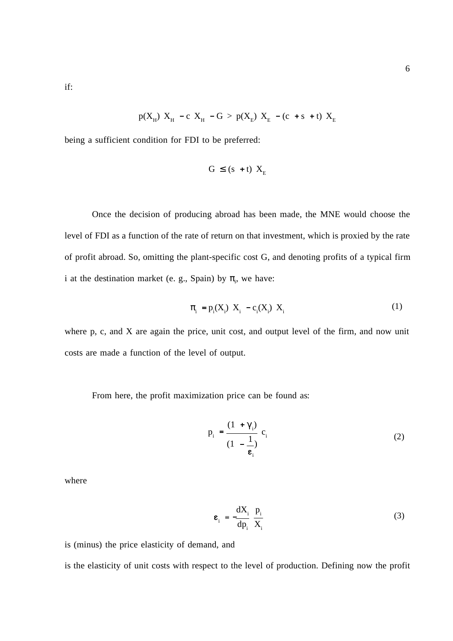if:

$$
p(X_H) X_H - c X_H - G > p(X_E) X_E - (c + s + t) X_E
$$

being a sufficient condition for FDI to be preferred:

$$
G \le (s + t) X_E
$$

Once the decision of producing abroad has been made, the MNE would choose the level of FDI as a function of the rate of return on that investment, which is proxied by the rate of profit abroad. So, omitting the plant-specific cost G, and denoting profits of a typical firm i at the destination market (e. g., Spain) by  $\pi$ <sub>i</sub>, we have:

$$
\pi_{i} = p_{i}(X_{i}) \ X_{i} - c_{i}(X_{i}) \ X_{i}
$$
 (1)

where p, c, and X are again the price, unit cost, and output level of the firm, and now unit costs are made a function of the level of output.

From here, the profit maximization price can be found as:

$$
p_i = \frac{(1 + \gamma_i)}{(1 - \frac{1}{\epsilon_i})} c_i
$$
 (2)

where

$$
\mathbf{\varepsilon}_{i} = -\frac{dX_{i}}{dp_{i}} \frac{p_{i}}{X_{i}}
$$
 (3)

is (minus) the price elasticity of demand, and

is the elasticity of unit costs with respect to the level of production. Defining now the profit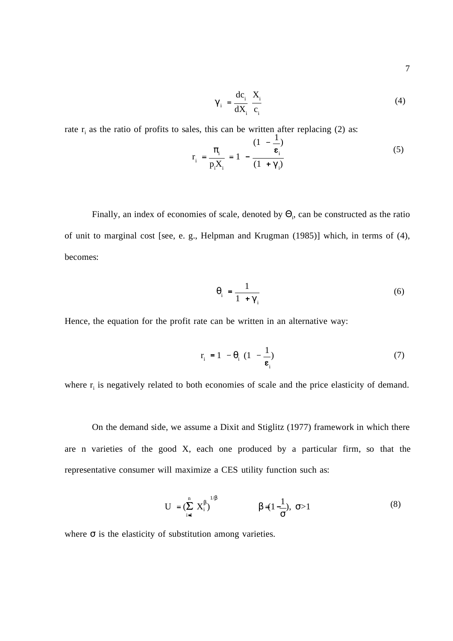7

$$
\gamma_i = \frac{dc_i}{dX_i} \frac{X_i}{c_i} \tag{4}
$$

rate  $r_i$  as the ratio of profits to sales, this can be written after replacing (2) as:

$$
r_{i} = \frac{\pi_{i}}{p_{i}X_{i}} = 1 - \frac{(1 - \frac{1}{\epsilon_{i}})}{(1 + \gamma_{i})}
$$
(5)

Finally, an index of economies of scale, denoted by  $\Theta_i$ , can be constructed as the ratio of unit to marginal cost [see, e. g., Helpman and Krugman (1985)] which, in terms of (4), becomes:

$$
\theta_{i} = \frac{1}{1 + \gamma_{i}} \tag{6}
$$

Hence, the equation for the profit rate can be written in an alternative way:

$$
\mathbf{r}_{i} = 1 - \theta_{i} \left( 1 - \frac{1}{\epsilon_{i}} \right) \tag{7}
$$

where  $r_i$  is negatively related to both economies of scale and the price elasticity of demand.

On the demand side, we assume a Dixit and Stiglitz (1977) framework in which there are n varieties of the good X, each one produced by a particular firm, so that the representative consumer will maximize a CES utility function such as:

$$
U = (\sum_{i=1}^{n} X_i^{\beta})^{1/\beta} \qquad \beta = (1 - \frac{1}{\sigma}), \ \sigma > 1 \tag{8}
$$

where  $\sigma$  is the elasticity of substitution among varieties.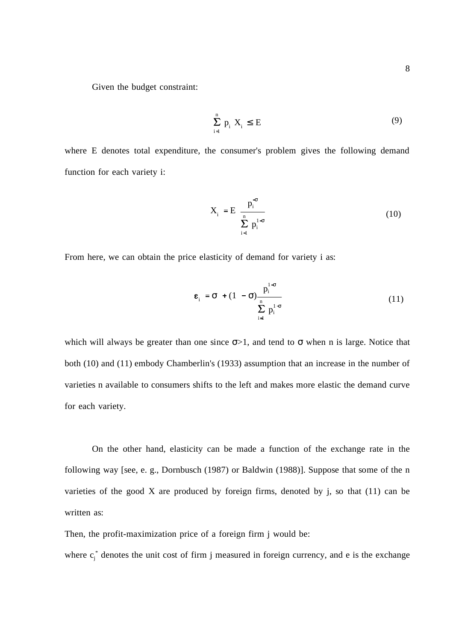Given the budget constraint:

$$
\sum_{i=1}^{n} p_i X_i \le E \tag{9}
$$

where E denotes total expenditure, the consumer's problem gives the following demand function for each variety i:

$$
X_i = E \frac{p_i^{\sigma}}{\sum_{i=1}^n p_i^{1-\sigma}}
$$
 (10)

From here, we can obtain the price elasticity of demand for variety i as:

$$
\varepsilon_{i} = \sigma + (1 - \sigma) \frac{p_{i}^{1-\sigma}}{\sum_{i=1}^{n} p_{i}^{1-\sigma}}
$$
(11)

which will always be greater than one since  $\sigma$ >1, and tend to  $\sigma$  when n is large. Notice that both (10) and (11) embody Chamberlin's (1933) assumption that an increase in the number of varieties n available to consumers shifts to the left and makes more elastic the demand curve for each variety.

On the other hand, elasticity can be made a function of the exchange rate in the following way [see, e. g., Dornbusch (1987) or Baldwin (1988)]. Suppose that some of the n varieties of the good  $X$  are produced by foreign firms, denoted by j, so that  $(11)$  can be written as:

Then, the profit-maximization price of a foreign firm j would be:

where  $c_j^*$  denotes the unit cost of firm j measured in foreign currency, and e is the exchange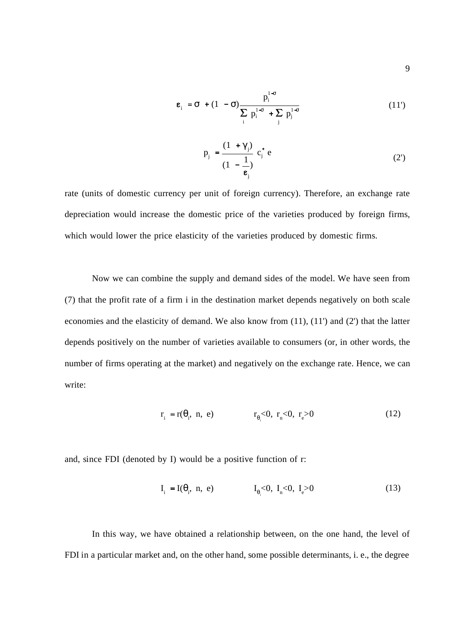$$
\mathbf{\varepsilon}_{i} = \sigma + (1 - \sigma) \frac{p_{i}^{1-\sigma}}{\sum_{i} p_{i}^{1-\sigma} + \sum_{j} p_{j}^{1-\sigma}}
$$
(11')

$$
p_j = \frac{(1 + \gamma_j)}{(1 - \frac{1}{\epsilon_j})} c_j^* e
$$
 (2')

rate (units of domestic currency per unit of foreign currency). Therefore, an exchange rate depreciation would increase the domestic price of the varieties produced by foreign firms, which would lower the price elasticity of the varieties produced by domestic firms.

Now we can combine the supply and demand sides of the model. We have seen from (7) that the profit rate of a firm i in the destination market depends negatively on both scale economies and the elasticity of demand. We also know from (11), (11') and (2') that the latter depends positively on the number of varieties available to consumers (or, in other words, the number of firms operating at the market) and negatively on the exchange rate. Hence, we can write:

$$
r_i = r(\theta_i, n, e)
$$
  $r_{\theta_i} < 0, r_{\theta_i} < 0, r_e > 0$  (12)

and, since FDI (denoted by I) would be a positive function of r:

$$
I_i = I(\theta_i, n, e)
$$
  $I_{\theta_i} < 0, I_n < 0, I_e > 0$  (13)

In this way, we have obtained a relationship between, on the one hand, the level of FDI in a particular market and, on the other hand, some possible determinants, i. e., the degree

9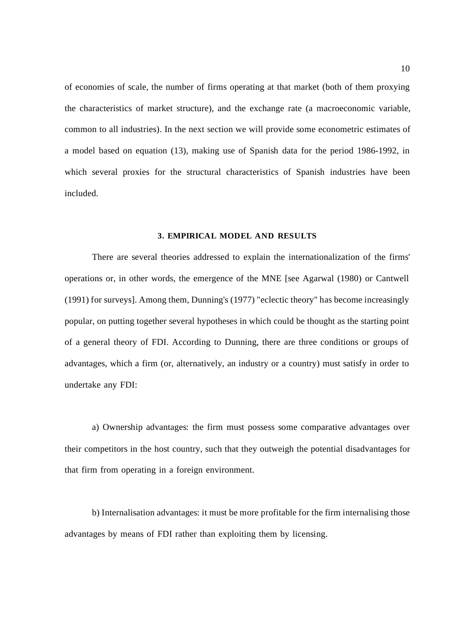of economies of scale, the number of firms operating at that market (both of them proxying the characteristics of market structure), and the exchange rate (a macroeconomic variable, common to all industries). In the next section we will provide some econometric estimates of a model based on equation (13), making use of Spanish data for the period 1986-1992, in which several proxies for the structural characteristics of Spanish industries have been included.

### **3. EMPIRICAL MODEL AND RESULTS**

There are several theories addressed to explain the internationalization of the firms' operations or, in other words, the emergence of the MNE [see Agarwal (1980) or Cantwell (1991) for surveys]. Among them, Dunning's (1977) "eclectic theory" has become increasingly popular, on putting together several hypotheses in which could be thought as the starting point of a general theory of FDI. According to Dunning, there are three conditions or groups of advantages, which a firm (or, alternatively, an industry or a country) must satisfy in order to undertake any FDI:

a) Ownership advantages: the firm must possess some comparative advantages over their competitors in the host country, such that they outweigh the potential disadvantages for that firm from operating in a foreign environment.

b) Internalisation advantages: it must be more profitable for the firm internalising those advantages by means of FDI rather than exploiting them by licensing.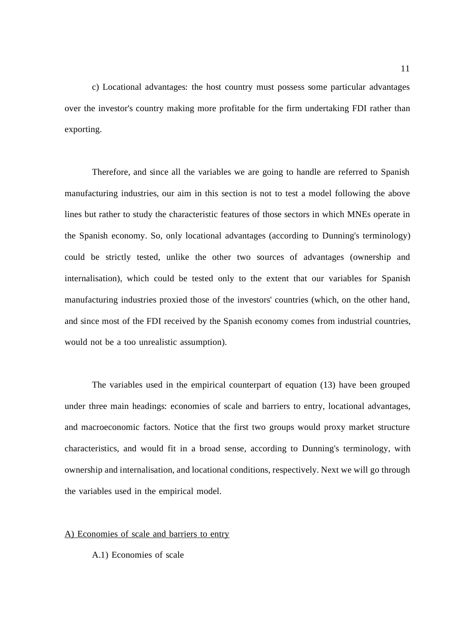c) Locational advantages: the host country must possess some particular advantages over the investor's country making more profitable for the firm undertaking FDI rather than exporting.

Therefore, and since all the variables we are going to handle are referred to Spanish manufacturing industries, our aim in this section is not to test a model following the above lines but rather to study the characteristic features of those sectors in which MNEs operate in the Spanish economy. So, only locational advantages (according to Dunning's terminology) could be strictly tested, unlike the other two sources of advantages (ownership and internalisation), which could be tested only to the extent that our variables for Spanish manufacturing industries proxied those of the investors' countries (which, on the other hand, and since most of the FDI received by the Spanish economy comes from industrial countries, would not be a too unrealistic assumption).

The variables used in the empirical counterpart of equation (13) have been grouped under three main headings: economies of scale and barriers to entry, locational advantages, and macroeconomic factors. Notice that the first two groups would proxy market structure characteristics, and would fit in a broad sense, according to Dunning's terminology, with ownership and internalisation, and locational conditions, respectively. Next we will go through the variables used in the empirical model.

#### A) Economies of scale and barriers to entry

A.1) Economies of scale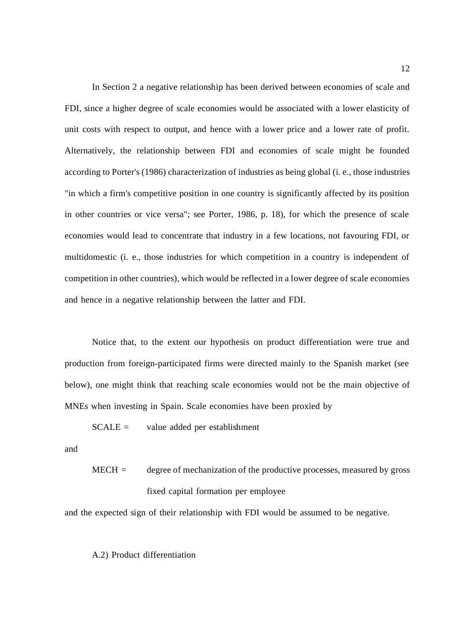In Section 2 a negative relationship has been derived between economies of scale and FDI, since a higher degree of scale economies would be associated with a lower elasticity of unit costs with respect to output, and hence with a lower price and a lower rate of profit. Alternatively, the relationship between FDI and economies of scale might be founded according to Porter's (1986) characterization of industries as being global (i. e., those industries "in which a firm's competitive position in one country is significantly affected by its position in other countries or vice versa"; see Porter, 1986, p. 18), for which the presence of scale economies would lead to concentrate that industry in a few locations, not favouring FDI, or multidomestic (i. e., those industries for which competition in a country is independent of competition in other countries), which would be reflected in a lower degree of scale economies and hence in a negative relationship between the latter and FDI.

Notice that, to the extent our hypothesis on product differentiation were true and production from foreign-participated firms were directed mainly to the Spanish market (see below), one might think that reaching scale economies would not be the main objective of MNEs when investing in Spain. Scale economies have been proxied by

 $SCALE =$  value added per establishment

and

 $MECH =$  degree of mechanization of the productive processes, measured by gross fixed capital formation per employee

and the expected sign of their relationship with FDI would be assumed to be negative.

### A.2) Product differentiation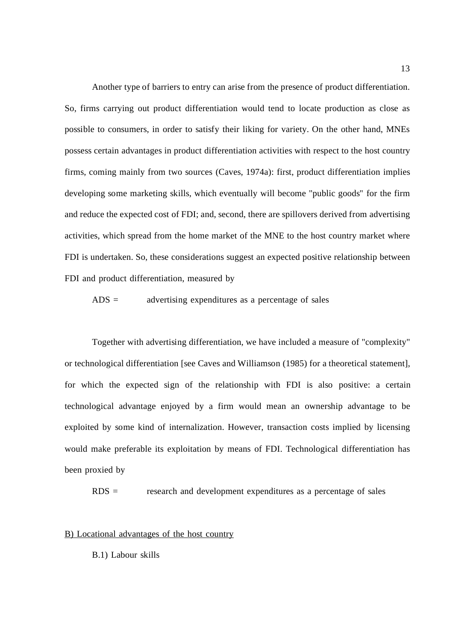Another type of barriers to entry can arise from the presence of product differentiation. So, firms carrying out product differentiation would tend to locate production as close as possible to consumers, in order to satisfy their liking for variety. On the other hand, MNEs possess certain advantages in product differentiation activities with respect to the host country firms, coming mainly from two sources (Caves, 1974a): first, product differentiation implies developing some marketing skills, which eventually will become "public goods" for the firm and reduce the expected cost of FDI; and, second, there are spillovers derived from advertising activities, which spread from the home market of the MNE to the host country market where FDI is undertaken. So, these considerations suggest an expected positive relationship between FDI and product differentiation, measured by

 $ADS =$  advertising expenditures as a percentage of sales

Together with advertising differentiation, we have included a measure of "complexity" or technological differentiation [see Caves and Williamson (1985) for a theoretical statement], for which the expected sign of the relationship with FDI is also positive: a certain technological advantage enjoyed by a firm would mean an ownership advantage to be exploited by some kind of internalization. However, transaction costs implied by licensing would make preferable its exploitation by means of FDI. Technological differentiation has been proxied by

RDS = research and development expenditures as a percentage of sales

#### B) Locational advantages of the host country

B.1) Labour skills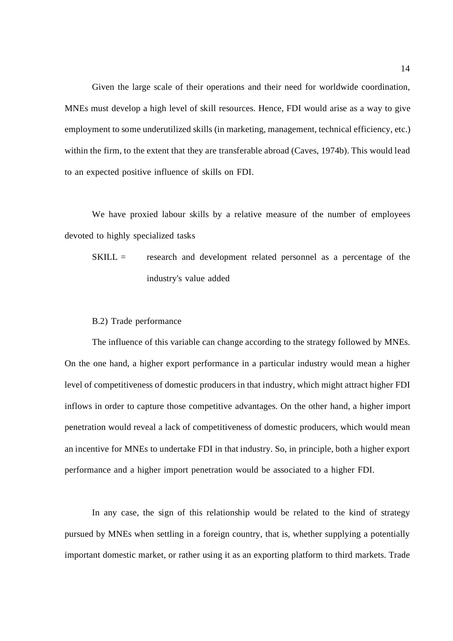Given the large scale of their operations and their need for worldwide coordination, MNEs must develop a high level of skill resources. Hence, FDI would arise as a way to give employment to some underutilized skills (in marketing, management, technical efficiency, etc.) within the firm, to the extent that they are transferable abroad (Caves, 1974b). This would lead to an expected positive influence of skills on FDI.

We have proxied labour skills by a relative measure of the number of employees devoted to highly specialized tasks

SKILL = research and development related personnel as a percentage of the industry's value added

### B.2) Trade performance

The influence of this variable can change according to the strategy followed by MNEs. On the one hand, a higher export performance in a particular industry would mean a higher level of competitiveness of domestic producers in that industry, which might attract higher FDI inflows in order to capture those competitive advantages. On the other hand, a higher import penetration would reveal a lack of competitiveness of domestic producers, which would mean an incentive for MNEs to undertake FDI in that industry. So, in principle, both a higher export performance and a higher import penetration would be associated to a higher FDI.

In any case, the sign of this relationship would be related to the kind of strategy pursued by MNEs when settling in a foreign country, that is, whether supplying a potentially important domestic market, or rather using it as an exporting platform to third markets. Trade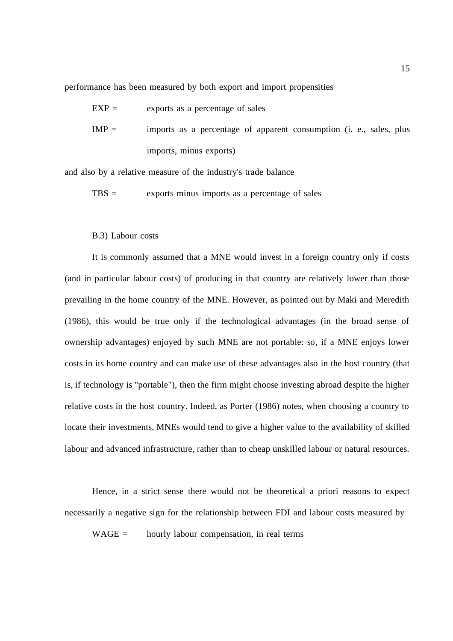performance has been measured by both export and import propensities

 $EXP =$  exports as a percentage of sales  $IMP =$  imports as a percentage of apparent consumption (i. e., sales, plus imports, minus exports)

and also by a relative measure of the industry's trade balance

 $TBS =$  exports minus imports as a percentage of sales

#### B.3) Labour costs

It is commonly assumed that a MNE would invest in a foreign country only if costs (and in particular labour costs) of producing in that country are relatively lower than those prevailing in the home country of the MNE. However, as pointed out by Maki and Meredith (1986), this would be true only if the technological advantages (in the broad sense of ownership advantages) enjoyed by such MNE are not portable: so, if a MNE enjoys lower costs in its home country and can make use of these advantages also in the host country (that is, if technology is "portable"), then the firm might choose investing abroad despite the higher relative costs in the host country. Indeed, as Porter (1986) notes, when choosing a country to locate their investments, MNEs would tend to give a higher value to the availability of skilled labour and advanced infrastructure, rather than to cheap unskilled labour or natural resources.

Hence, in a strict sense there would not be theoretical a priori reasons to expect necessarily a negative sign for the relationship between FDI and labour costs measured by

 $WAGE =$  hourly labour compensation, in real terms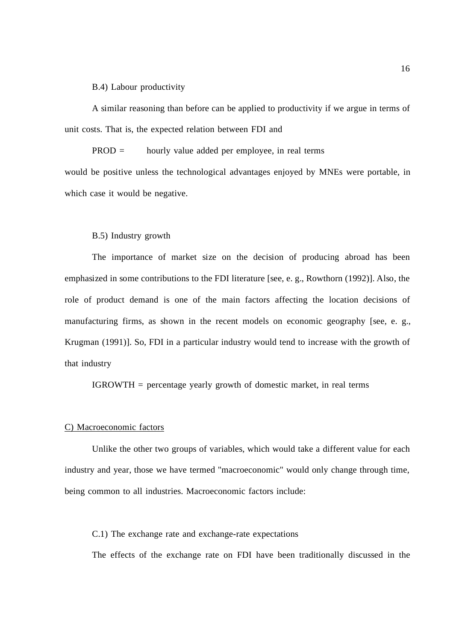B.4) Labour productivity

A similar reasoning than before can be applied to productivity if we argue in terms of unit costs. That is, the expected relation between FDI and

PROD = hourly value added per employee, in real terms would be positive unless the technological advantages enjoyed by MNEs were portable, in which case it would be negative.

### B.5) Industry growth

The importance of market size on the decision of producing abroad has been emphasized in some contributions to the FDI literature [see, e. g., Rowthorn (1992)]. Also, the role of product demand is one of the main factors affecting the location decisions of manufacturing firms, as shown in the recent models on economic geography [see, e. g., Krugman (1991)]. So, FDI in a particular industry would tend to increase with the growth of that industry

IGROWTH = percentage yearly growth of domestic market, in real terms

#### C) Macroeconomic factors

Unlike the other two groups of variables, which would take a different value for each industry and year, those we have termed "macroeconomic" would only change through time, being common to all industries. Macroeconomic factors include:

C.1) The exchange rate and exchange-rate expectations

The effects of the exchange rate on FDI have been traditionally discussed in the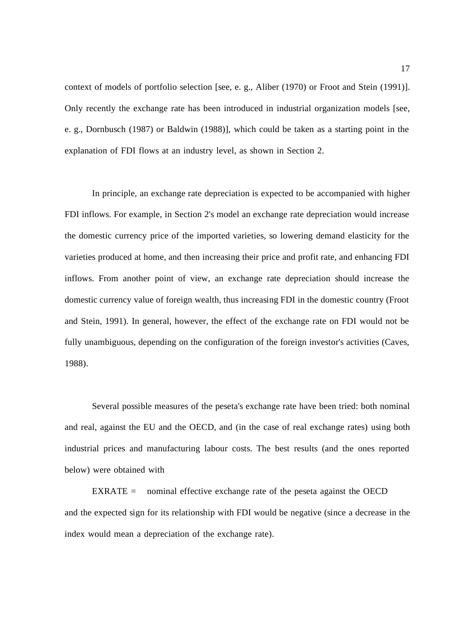context of models of portfolio selection [see, e. g., Aliber (1970) or Froot and Stein (1991)]. Only recently the exchange rate has been introduced in industrial organization models [see, e. g., Dornbusch (1987) or Baldwin (1988)], which could be taken as a starting point in the explanation of FDI flows at an industry level, as shown in Section 2.

In principle, an exchange rate depreciation is expected to be accompanied with higher FDI inflows. For example, in Section 2's model an exchange rate depreciation would increase the domestic currency price of the imported varieties, so lowering demand elasticity for the varieties produced at home, and then increasing their price and profit rate, and enhancing FDI inflows. From another point of view, an exchange rate depreciation should increase the domestic currency value of foreign wealth, thus increasing FDI in the domestic country (Froot and Stein, 1991). In general, however, the effect of the exchange rate on FDI would not be fully unambiguous, depending on the configuration of the foreign investor's activities (Caves, 1988).

Several possible measures of the peseta's exchange rate have been tried: both nominal and real, against the EU and the OECD, and (in the case of real exchange rates) using both industrial prices and manufacturing labour costs. The best results (and the ones reported below) were obtained with

 $EXRATE =$  nominal effective exchange rate of the peseta against the OECD and the expected sign for its relationship with FDI would be negative (since a decrease in the index would mean a depreciation of the exchange rate).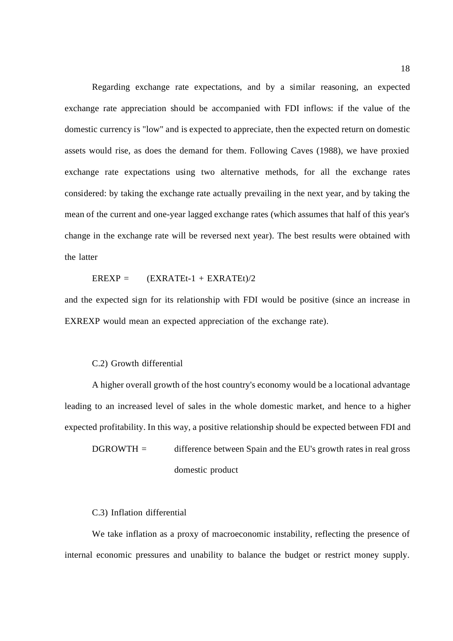Regarding exchange rate expectations, and by a similar reasoning, an expected exchange rate appreciation should be accompanied with FDI inflows: if the value of the domestic currency is "low" and is expected to appreciate, then the expected return on domestic assets would rise, as does the demand for them. Following Caves (1988), we have proxied exchange rate expectations using two alternative methods, for all the exchange rates considered: by taking the exchange rate actually prevailing in the next year, and by taking the mean of the current and one-year lagged exchange rates (which assumes that half of this year's change in the exchange rate will be reversed next year). The best results were obtained with the latter

 $EREXP = (EXRATEt-1 + EXRATEt)/2$ 

and the expected sign for its relationship with FDI would be positive (since an increase in EXREXP would mean an expected appreciation of the exchange rate).

#### C.2) Growth differential

A higher overall growth of the host country's economy would be a locational advantage leading to an increased level of sales in the whole domestic market, and hence to a higher expected profitability. In this way, a positive relationship should be expected between FDI and

 $D$ GROWTH = difference between Spain and the EU's growth rates in real gross domestic product

C.3) Inflation differential

We take inflation as a proxy of macroeconomic instability, reflecting the presence of internal economic pressures and unability to balance the budget or restrict money supply.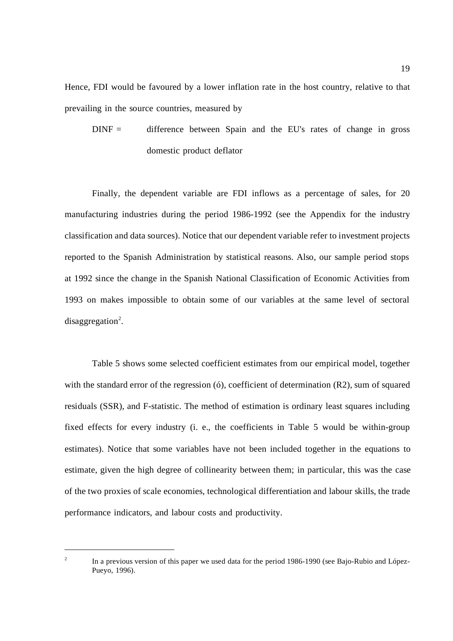Hence, FDI would be favoured by a lower inflation rate in the host country, relative to that prevailing in the source countries, measured by

 $DINF =$  difference between Spain and the EU's rates of change in gross domestic product deflator

Finally, the dependent variable are FDI inflows as a percentage of sales, for 20 manufacturing industries during the period 1986-1992 (see the Appendix for the industry classification and data sources). Notice that our dependent variable refer to investment projects reported to the Spanish Administration by statistical reasons. Also, our sample period stops at 1992 since the change in the Spanish National Classification of Economic Activities from 1993 on makes impossible to obtain some of our variables at the same level of sectoral disaggregation<sup>2</sup>.

Table 5 shows some selected coefficient estimates from our empirical model, together with the standard error of the regression (6), coefficient of determination (R2), sum of squared residuals (SSR), and F-statistic. The method of estimation is ordinary least squares including fixed effects for every industry (i. e., the coefficients in Table 5 would be within-group estimates). Notice that some variables have not been included together in the equations to estimate, given the high degree of collinearity between them; in particular, this was the case of the two proxies of scale economies, technological differentiation and labour skills, the trade performance indicators, and labour costs and productivity.

 $\overline{a}$ 

<sup>&</sup>lt;sup>2</sup> In a previous version of this paper we used data for the period 1986-1990 (see Bajo-Rubio and López-Pueyo, 1996).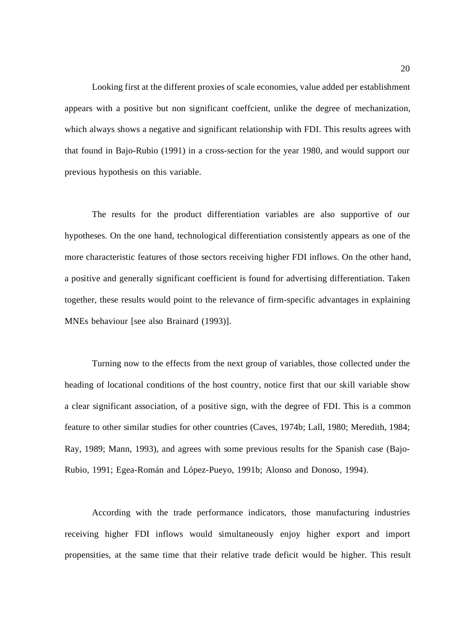Looking first at the different proxies of scale economies, value added per establishment appears with a positive but non significant coeffcient, unlike the degree of mechanization, which always shows a negative and significant relationship with FDI. This results agrees with that found in Bajo-Rubio (1991) in a cross-section for the year 1980, and would support our previous hypothesis on this variable.

The results for the product differentiation variables are also supportive of our hypotheses. On the one hand, technological differentiation consistently appears as one of the more characteristic features of those sectors receiving higher FDI inflows. On the other hand, a positive and generally significant coefficient is found for advertising differentiation. Taken together, these results would point to the relevance of firm-specific advantages in explaining MNEs behaviour [see also Brainard (1993)].

Turning now to the effects from the next group of variables, those collected under the heading of locational conditions of the host country, notice first that our skill variable show a clear significant association, of a positive sign, with the degree of FDI. This is a common feature to other similar studies for other countries (Caves, 1974b; Lall, 1980; Meredith, 1984; Ray, 1989; Mann, 1993), and agrees with some previous results for the Spanish case (Bajo-Rubio, 1991; Egea-Román and López-Pueyo, 1991b; Alonso and Donoso, 1994).

According with the trade performance indicators, those manufacturing industries receiving higher FDI inflows would simultaneously enjoy higher export and import propensities, at the same time that their relative trade deficit would be higher. This result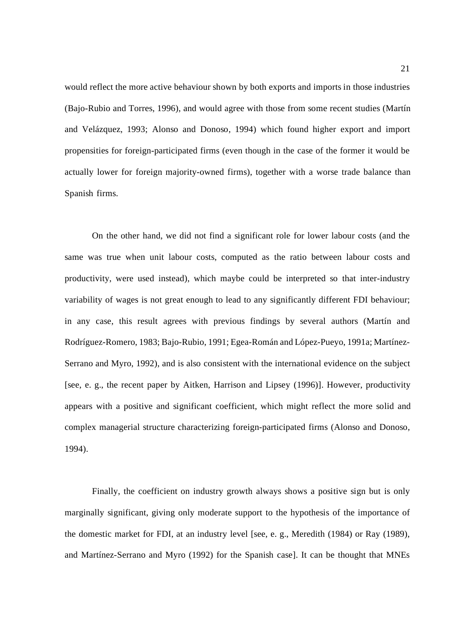would reflect the more active behaviour shown by both exports and imports in those industries (Bajo-Rubio and Torres, 1996), and would agree with those from some recent studies (Martín and Velázquez, 1993; Alonso and Donoso, 1994) which found higher export and import propensities for foreign-participated firms (even though in the case of the former it would be actually lower for foreign majority-owned firms), together with a worse trade balance than Spanish firms.

On the other hand, we did not find a significant role for lower labour costs (and the same was true when unit labour costs, computed as the ratio between labour costs and productivity, were used instead), which maybe could be interpreted so that inter-industry variability of wages is not great enough to lead to any significantly different FDI behaviour; in any case, this result agrees with previous findings by several authors (Martín and Rodríguez-Romero, 1983; Bajo-Rubio, 1991; Egea-Román and López-Pueyo, 1991a; Martínez-Serrano and Myro, 1992), and is also consistent with the international evidence on the subject [see, e. g., the recent paper by Aitken, Harrison and Lipsey (1996)]. However, productivity appears with a positive and significant coefficient, which might reflect the more solid and complex managerial structure characterizing foreign-participated firms (Alonso and Donoso, 1994).

Finally, the coefficient on industry growth always shows a positive sign but is only marginally significant, giving only moderate support to the hypothesis of the importance of the domestic market for FDI, at an industry level [see, e. g., Meredith (1984) or Ray (1989), and Martínez-Serrano and Myro (1992) for the Spanish case]. It can be thought that MNEs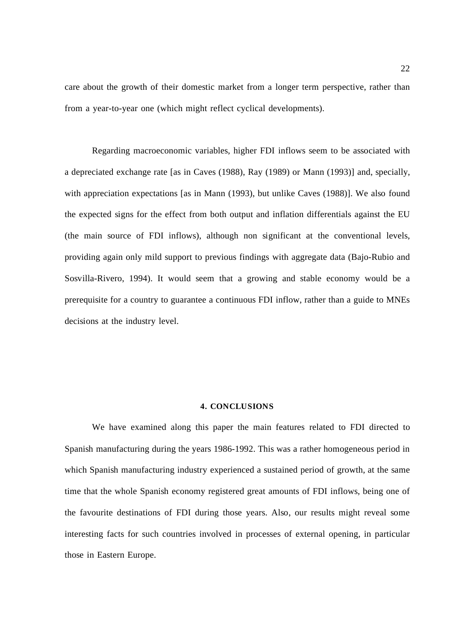care about the growth of their domestic market from a longer term perspective, rather than from a year-to-year one (which might reflect cyclical developments).

Regarding macroeconomic variables, higher FDI inflows seem to be associated with a depreciated exchange rate [as in Caves (1988), Ray (1989) or Mann (1993)] and, specially, with appreciation expectations [as in Mann (1993), but unlike Caves (1988)]. We also found the expected signs for the effect from both output and inflation differentials against the EU (the main source of FDI inflows), although non significant at the conventional levels, providing again only mild support to previous findings with aggregate data (Bajo-Rubio and Sosvilla-Rivero, 1994). It would seem that a growing and stable economy would be a prerequisite for a country to guarantee a continuous FDI inflow, rather than a guide to MNEs decisions at the industry level.

#### **4. CONCLUSIONS**

We have examined along this paper the main features related to FDI directed to Spanish manufacturing during the years 1986-1992. This was a rather homogeneous period in which Spanish manufacturing industry experienced a sustained period of growth, at the same time that the whole Spanish economy registered great amounts of FDI inflows, being one of the favourite destinations of FDI during those years. Also, our results might reveal some interesting facts for such countries involved in processes of external opening, in particular those in Eastern Europe.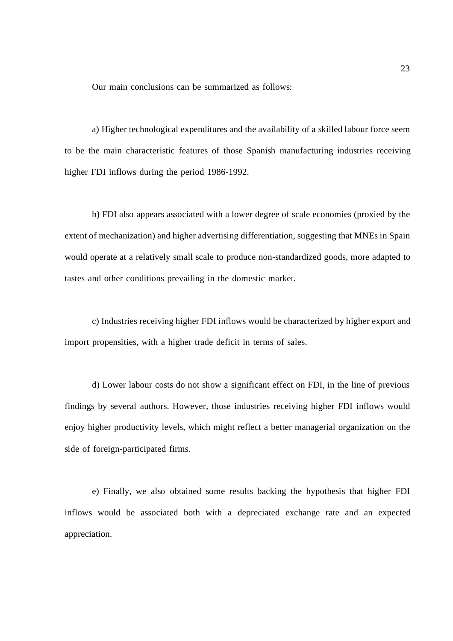Our main conclusions can be summarized as follows:

a) Higher technological expenditures and the availability of a skilled labour force seem to be the main characteristic features of those Spanish manufacturing industries receiving higher FDI inflows during the period 1986-1992.

b) FDI also appears associated with a lower degree of scale economies (proxied by the extent of mechanization) and higher advertising differentiation, suggesting that MNEs in Spain would operate at a relatively small scale to produce non-standardized goods, more adapted to tastes and other conditions prevailing in the domestic market.

c) Industries receiving higher FDI inflows would be characterized by higher export and import propensities, with a higher trade deficit in terms of sales.

d) Lower labour costs do not show a significant effect on FDI, in the line of previous findings by several authors. However, those industries receiving higher FDI inflows would enjoy higher productivity levels, which might reflect a better managerial organization on the side of foreign-participated firms.

e) Finally, we also obtained some results backing the hypothesis that higher FDI inflows would be associated both with a depreciated exchange rate and an expected appreciation.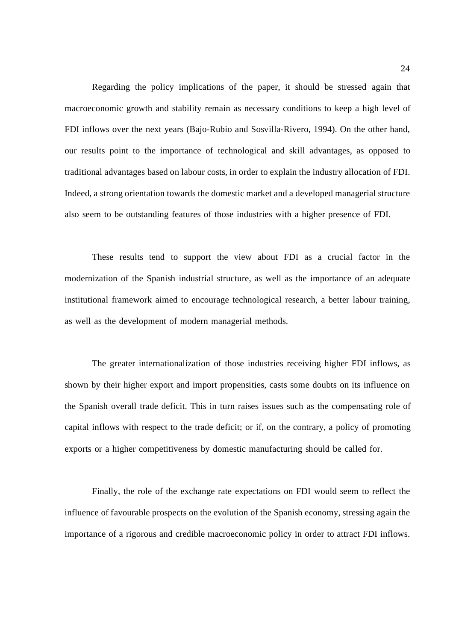Regarding the policy implications of the paper, it should be stressed again that macroeconomic growth and stability remain as necessary conditions to keep a high level of FDI inflows over the next years (Bajo-Rubio and Sosvilla-Rivero, 1994). On the other hand, our results point to the importance of technological and skill advantages, as opposed to traditional advantages based on labour costs, in order to explain the industry allocation of FDI. Indeed, a strong orientation towards the domestic market and a developed managerial structure also seem to be outstanding features of those industries with a higher presence of FDI.

These results tend to support the view about FDI as a crucial factor in the modernization of the Spanish industrial structure, as well as the importance of an adequate institutional framework aimed to encourage technological research, a better labour training, as well as the development of modern managerial methods.

The greater internationalization of those industries receiving higher FDI inflows, as shown by their higher export and import propensities, casts some doubts on its influence on the Spanish overall trade deficit. This in turn raises issues such as the compensating role of capital inflows with respect to the trade deficit; or if, on the contrary, a policy of promoting exports or a higher competitiveness by domestic manufacturing should be called for.

Finally, the role of the exchange rate expectations on FDI would seem to reflect the influence of favourable prospects on the evolution of the Spanish economy, stressing again the importance of a rigorous and credible macroeconomic policy in order to attract FDI inflows.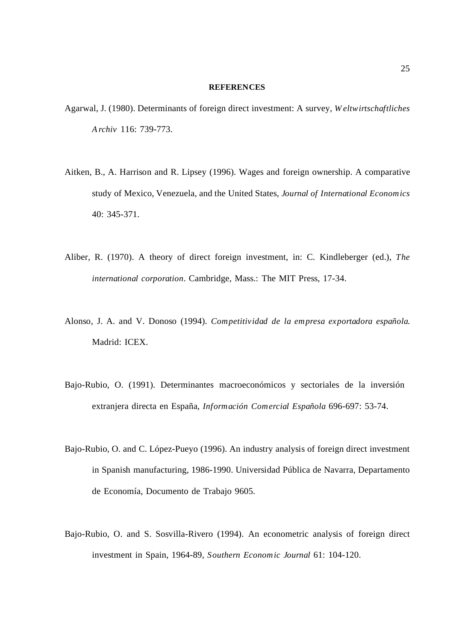#### **REFERENCES**

- Agarwal, J. (1980). Determinants of foreign direct investment: A survey, *W eltwirtschaftliches A rchiv* 116: 739-773.
- Aitken, B., A. Harrison and R. Lipsey (1996). Wages and foreign ownership. A comparative study of Mexico, Venezuela, and the United States, *Journal of International Economics* 40: 345-371.
- Aliber, R. (1970). A theory of direct foreign investment, in: C. Kindleberger (ed.), *The international corporation*. Cambridge, Mass.: The MIT Press, 17-34.
- Alonso, J. A. and V. Donoso (1994). *Competitividad de la empresa exportadora española*. Madrid: ICEX.
- Bajo-Rubio, O. (1991). Determinantes macroeconómicos y sectoriales de la inversión extranjera directa en España, *Información Comercial Española* 696-697: 53-74.
- Bajo-Rubio, O. and C. López-Pueyo (1996). An industry analysis of foreign direct investment in Spanish manufacturing, 1986-1990. Universidad Pública de Navarra, Departamento de Economía, Documento de Trabajo 9605.
- Bajo-Rubio, O. and S. Sosvilla-Rivero (1994). An econometric analysis of foreign direct investment in Spain, 1964-89, *Southern Economic Journal* 61: 104-120.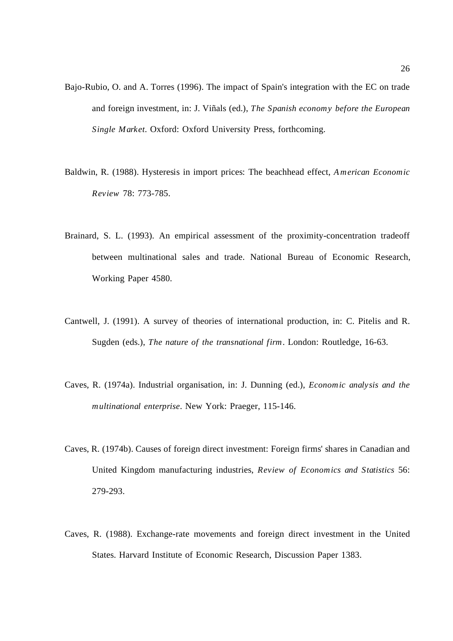- Bajo-Rubio, O. and A. Torres (1996). The impact of Spain's integration with the EC on trade and foreign investment, in: J. Viñals (ed.), *The Spanish economy before the European Single Market*. Oxford: Oxford University Press, forthcoming.
- Baldwin, R. (1988). Hysteresis in import prices: The beachhead effect, *A merican Economic Review* 78: 773-785.
- Brainard, S. L. (1993). An empirical assessment of the proximity-concentration tradeoff between multinational sales and trade. National Bureau of Economic Research, Working Paper 4580.
- Cantwell, J. (1991). A survey of theories of international production, in: C. Pitelis and R. Sugden (eds.), *The nature of the transnational firm*. London: Routledge, 16-63.
- Caves, R. (1974a). Industrial organisation, in: J. Dunning (ed.), *Economic analysis and the multinational enterprise*. New York: Praeger, 115-146.
- Caves, R. (1974b). Causes of foreign direct investment: Foreign firms' shares in Canadian and United Kingdom manufacturing industries, *Review of Economics and Statistics* 56: 279-293.
- Caves, R. (1988). Exchange-rate movements and foreign direct investment in the United States. Harvard Institute of Economic Research, Discussion Paper 1383.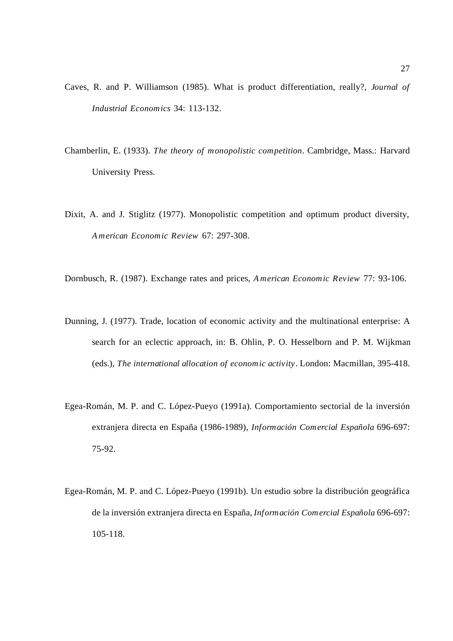- Caves, R. and P. Williamson (1985). What is product differentiation, really?, *Journal of Industrial Economics* 34: 113-132.
- Chamberlin, E. (1933). *The theory of monopolistic competition*. Cambridge, Mass.: Harvard University Press.
- Dixit, A. and J. Stiglitz (1977). Monopolistic competition and optimum product diversity, *A merican Economic Review* 67: 297-308.
- Dornbusch, R. (1987). Exchange rates and prices, *A merican Economic Review* 77: 93-106.
- Dunning, J. (1977). Trade, location of economic activity and the multinational enterprise: A search for an eclectic approach, in: B. Ohlin, P. O. Hesselborn and P. M. Wijkman (eds.), *The international allocation of economic activity*. London: Macmillan, 395-418.
- Egea-Román, M. P. and C. López-Pueyo (1991a). Comportamiento sectorial de la inversión extranjera directa en España (1986-1989), *Información Comercial Española* 696-697: 75-92.
- Egea-Román, M. P. and C. López-Pueyo (1991b). Un estudio sobre la distribución geográfica de la inversión extranjera directa en España, *Información Comercial Española* 696-697: 105-118.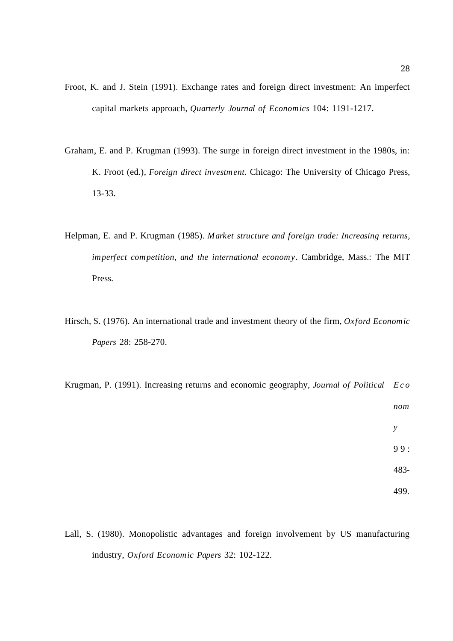- Froot, K. and J. Stein (1991). Exchange rates and foreign direct investment: An imperfect capital markets approach, *Quarterly Journal of Economics* 104: 1191-1217.
- Graham, E. and P. Krugman (1993). The surge in foreign direct investment in the 1980s, in: K. Froot (ed.), *Foreign direct investment*. Chicago: The University of Chicago Press, 13-33.
- Helpman, E. and P. Krugman (1985). *Market structure and foreign trade: Increasing returns, imperfect competition, and the international economy*. Cambridge, Mass.: The MIT Press.
- Hirsch, S. (1976). An international trade and investment theory of the firm, *Oxford Economic Papers* 28: 258-270.
- Krugman, P. (1991). Increasing returns and economic geography, *Journal of Political E c o nom y* 99: 483- 499.
- Lall, S. (1980). Monopolistic advantages and foreign involvement by US manufacturing industry, *Oxford Economic Papers* 32: 102-122.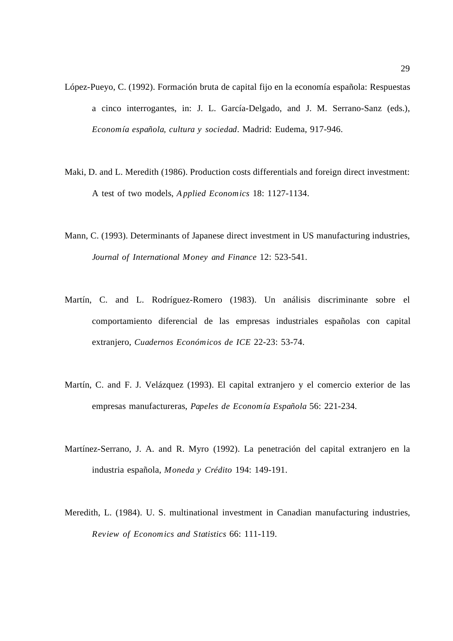- López-Pueyo, C. (1992). Formación bruta de capital fijo en la economía española: Respuestas a cinco interrogantes, in: J. L. García-Delgado, and J. M. Serrano-Sanz (eds.), *Economía española, cultura y sociedad*. Madrid: Eudema, 917-946.
- Maki, D. and L. Meredith (1986). Production costs differentials and foreign direct investment: A test of two models, *A pplied Economics* 18: 1127-1134.
- Mann, C. (1993). Determinants of Japanese direct investment in US manufacturing industries, *Journal of International Money and Finance* 12: 523-541.
- Martín, C. and L. Rodríguez-Romero (1983). Un análisis discriminante sobre el comportamiento diferencial de las empresas industriales españolas con capital extranjero, *Cuadernos Económicos de ICE* 22-23: 53-74.
- Martín, C. and F. J. Velázquez (1993). El capital extranjero y el comercio exterior de las empresas manufactureras, *Papeles de Economía Española* 56: 221-234.
- Martínez-Serrano, J. A. and R. Myro (1992). La penetración del capital extranjero en la industria española, *Moneda y Crédito* 194: 149-191.
- Meredith, L. (1984). U. S. multinational investment in Canadian manufacturing industries, *Review of Economics and Statistics* 66: 111-119.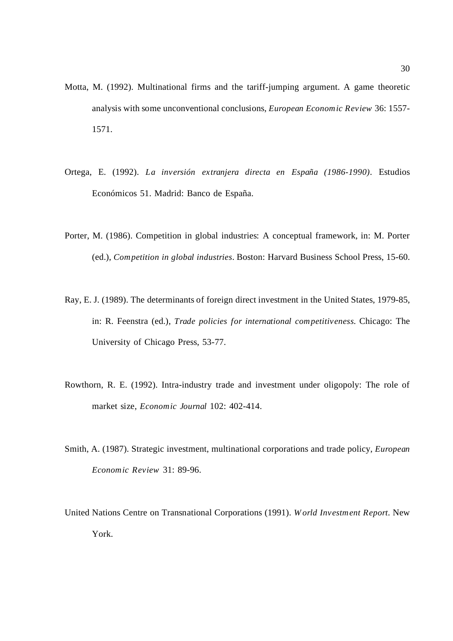- Motta, M. (1992). Multinational firms and the tariff-jumping argument. A game theoretic analysis with some unconventional conclusions, *European Economic Review* 36: 1557- 1571.
- Ortega, E. (1992). *La inversión extranjera directa en España (1986-1990)*. Estudios Económicos 51. Madrid: Banco de España.
- Porter, M. (1986). Competition in global industries: A conceptual framework, in: M. Porter (ed.), *Competition in global industries*. Boston: Harvard Business School Press, 15-60.
- Ray, E. J. (1989). The determinants of foreign direct investment in the United States, 1979-85, in: R. Feenstra (ed.), *Trade policies for international competitiveness*. Chicago: The University of Chicago Press, 53-77.
- Rowthorn, R. E. (1992). Intra-industry trade and investment under oligopoly: The role of market size, *Economic Journal* 102: 402-414.
- Smith, A. (1987). Strategic investment, multinational corporations and trade policy, *European Economic Review* 31: 89-96.
- United Nations Centre on Transnational Corporations (1991). *W orld Investment Report*. New York.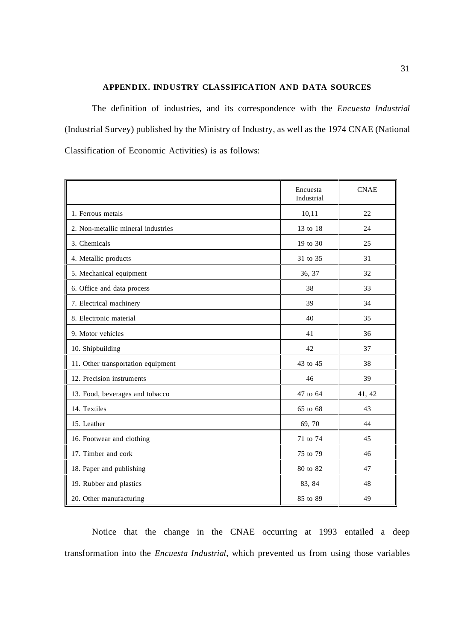### **APPENDIX. INDUSTRY CLASSIFICATION AND DATA SOURCES**

The definition of industries, and its correspondence with the *Encuesta Industrial* (Industrial Survey) published by the Ministry of Industry, as well as the 1974 CNAE (National Classification of Economic Activities) is as follows:

|                                    | Encuesta<br>Industrial | <b>CNAE</b> |
|------------------------------------|------------------------|-------------|
| 1. Ferrous metals                  | 10,11                  | 22          |
| 2. Non-metallic mineral industries | 13 to 18               | 24          |
| 3. Chemicals                       | 19 to 30               | 25          |
| 4. Metallic products               | 31 to 35               | 31          |
| 5. Mechanical equipment            | 36, 37                 | 32          |
| 6. Office and data process         | 38                     | 33          |
| 7. Electrical machinery            | 39                     | 34          |
| 8. Electronic material             | 40                     | 35          |
| 9. Motor vehicles                  | 41                     | 36          |
| 10. Shipbuilding                   | 42                     | 37          |
| 11. Other transportation equipment | 43 to 45               | 38          |
| 12. Precision instruments          | 46                     | 39          |
| 13. Food, beverages and tobacco    | 47 to 64               | 41, 42      |
| 14. Textiles                       | 65 to 68               | 43          |
| 15. Leather                        | 69,70                  | 44          |
| 16. Footwear and clothing          | 71 to 74               | 45          |
| 17. Timber and cork                | 75 to 79               | 46          |
| 18. Paper and publishing           | 80 to 82               | 47          |
| 19. Rubber and plastics            | 83, 84                 | 48          |
| 20. Other manufacturing            | 85 to 89               | 49          |

Notice that the change in the CNAE occurring at 1993 entailed a deep transformation into the *Encuesta Industrial*, which prevented us from using those variables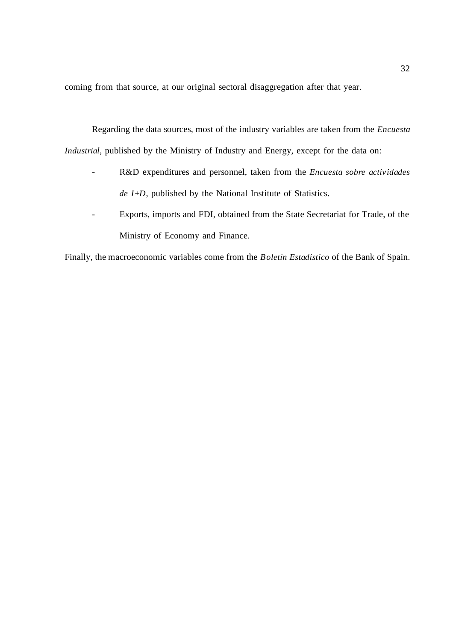coming from that source, at our original sectoral disaggregation after that year.

Regarding the data sources, most of the industry variables are taken from the *Encuesta Industrial*, published by the Ministry of Industry and Energy, except for the data on:

- R&D expenditures and personnel, taken from the *Encuesta sobre actividades de I+D*, published by the National Institute of Statistics.
- Exports, imports and FDI, obtained from the State Secretariat for Trade, of the Ministry of Economy and Finance.

Finally, the macroeconomic variables come from the *Boletín Estadístico* of the Bank of Spain.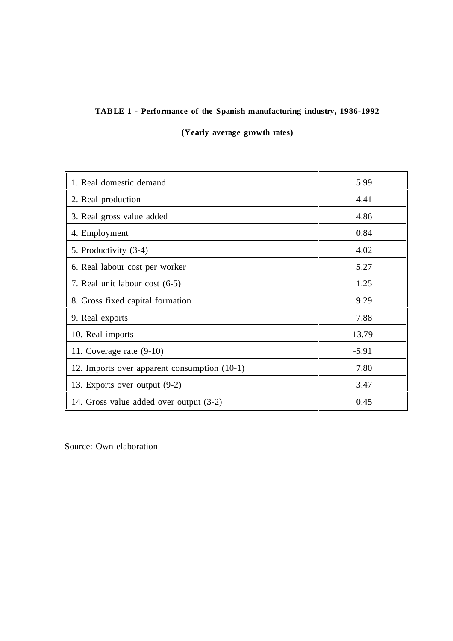## **TABLE 1 - Performance of the Spanish manufacturing industry, 1986-1992**

**(Yearly average growth rates)**

| 1. Real domestic demand                      | 5.99    |
|----------------------------------------------|---------|
| 2. Real production                           | 4.41    |
| 3. Real gross value added                    | 4.86    |
| 4. Employment                                | 0.84    |
| 5. Productivity (3-4)                        | 4.02    |
| 6. Real labour cost per worker               | 5.27    |
| 7. Real unit labour cost (6-5)               | 1.25    |
| 8. Gross fixed capital formation             | 9.29    |
| 9. Real exports                              | 7.88    |
| 10. Real imports                             | 13.79   |
| 11. Coverage rate $(9-10)$                   | $-5.91$ |
| 12. Imports over apparent consumption (10-1) | 7.80    |
| 13. Exports over output (9-2)                | 3.47    |
| 14. Gross value added over output (3-2)      | 0.45    |

Source: Own elaboration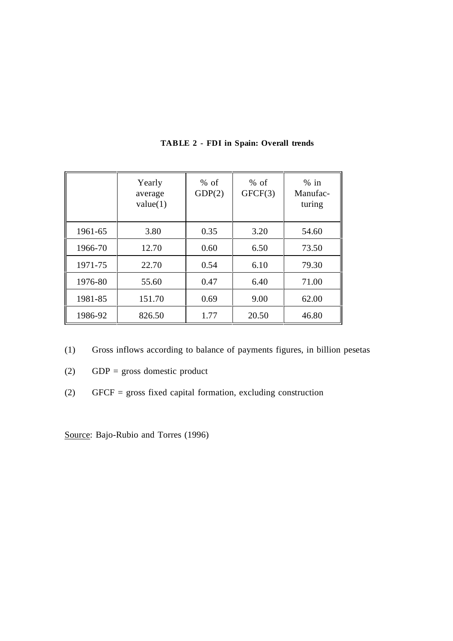|         | Yearly<br>average<br>value(1) | $%$ of<br>GDP(2) | $%$ of<br>GFCF(3) | $%$ in<br>Manufac-<br>turing |
|---------|-------------------------------|------------------|-------------------|------------------------------|
| 1961-65 | 3.80                          | 0.35             | 3.20              | 54.60                        |
| 1966-70 | 12.70                         | 0.60             | 6.50              | 73.50                        |
| 1971-75 | 22.70                         | 0.54             | 6.10              | 79.30                        |
| 1976-80 | 55.60                         | 0.47             | 6.40              | 71.00                        |
| 1981-85 | 151.70                        | 0.69             | 9.00              | 62.00                        |
| 1986-92 | 826.50                        | 1.77             | 20.50             | 46.80                        |

## **TABLE 2 - FDI in Spain: Overall trends**

- (1) Gross inflows according to balance of payments figures, in billion pesetas
- (2) GDP = gross domestic product
- (2) GFCF = gross fixed capital formation, excluding construction

Source: Bajo-Rubio and Torres (1996)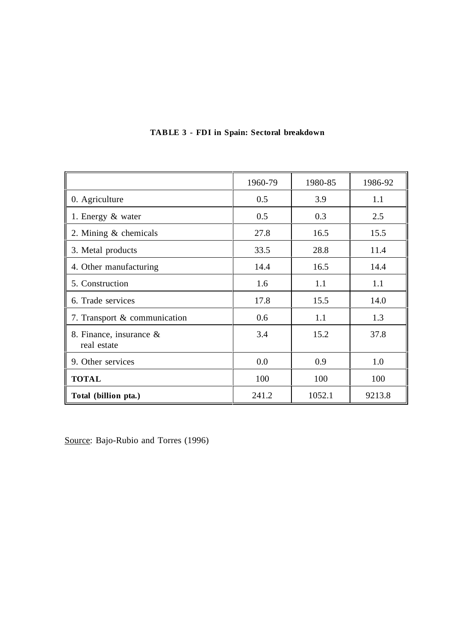|                                           | 1960-79 | 1980-85 | 1986-92 |
|-------------------------------------------|---------|---------|---------|
| 0. Agriculture                            | 0.5     | 3.9     | 1.1     |
| 1. Energy & water                         | 0.5     | 0.3     | 2.5     |
| 2. Mining & chemicals                     | 27.8    | 16.5    | 15.5    |
| 3. Metal products                         | 33.5    | 28.8    | 11.4    |
| 4. Other manufacturing                    | 14.4    | 16.5    | 14.4    |
| 5. Construction                           | 1.6     | 1.1     | 1.1     |
| 6. Trade services                         | 17.8    | 15.5    | 14.0    |
| 7. Transport & communication              | 0.6     | 1.1     | 1.3     |
| 8. Finance, insurance $\&$<br>real estate | 3.4     | 15.2    | 37.8    |
| 9. Other services                         | 0.0     | 0.9     | 1.0     |
| <b>TOTAL</b>                              | 100     | 100     | 100     |
| Total (billion pta.)                      | 241.2   | 1052.1  | 9213.8  |

# **TABLE 3 - FDI in Spain: Sectoral breakdown**

Source: Bajo-Rubio and Torres (1996)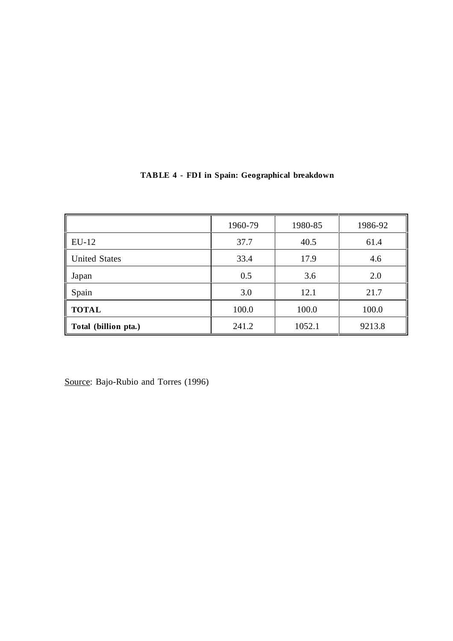|                      | 1960-79 | 1980-85 | 1986-92 |
|----------------------|---------|---------|---------|
| $EU-12$              | 37.7    | 40.5    | 61.4    |
| <b>United States</b> | 33.4    | 17.9    | 4.6     |
| Japan                | 0.5     | 3.6     | 2.0     |
| Spain                | 3.0     | 12.1    | 21.7    |
| <b>TOTAL</b>         | 100.0   | 100.0   | 100.0   |
| Total (billion pta.) | 241.2   | 1052.1  | 9213.8  |

# **TABLE 4 - FDI in Spain: Geographical breakdown**

Source: Bajo-Rubio and Torres (1996)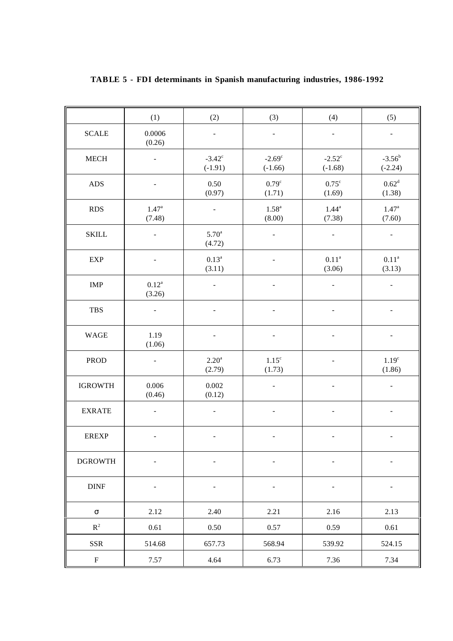|                           | (1)                      | (2)                          | (3)                          | (4)                          | (5)                         |
|---------------------------|--------------------------|------------------------------|------------------------------|------------------------------|-----------------------------|
| <b>SCALE</b>              | 0.0006<br>(0.26)         | $\qquad \qquad \blacksquare$ | $\blacksquare$               | $\blacksquare$               | $\blacksquare$              |
| ${\sf MECH}$              |                          | $-3.42^{\circ}$<br>$(-1.91)$ | $-2.69^{\circ}$<br>$(-1.66)$ | $-2.52^{\circ}$<br>$(-1.68)$ | $-3.56^b$<br>$(-2.24)$      |
| <b>ADS</b>                |                          | 0.50<br>(0.97)               | 0.79 <sup>c</sup><br>(1.71)  | $0.75^{\circ}$<br>(1.69)     | $0.62^d$<br>(1.38)          |
| <b>RDS</b>                | $1.47^{\circ}$<br>(7.48) |                              | $1.58^{a}$<br>(8.00)         | $1.44^a$<br>(7.38)           | $1.47^{\circ}$<br>(7.60)    |
| <b>SKILL</b>              | $\overline{\phantom{a}}$ | 5.70 <sup>a</sup><br>(4.72)  | $\overline{\phantom{a}}$     | $\overline{\phantom{a}}$     | $\blacksquare$              |
| <b>EXP</b>                |                          | $0.13^a$<br>(3.11)           |                              | $0.11^{a}$<br>(3.06)         | $0.11^{\rm a}$<br>(3.13)    |
| IMP                       | $0.12^{\rm a}$<br>(3.26) |                              |                              |                              |                             |
| <b>TBS</b>                |                          |                              |                              |                              |                             |
| <b>WAGE</b>               | 1.19<br>(1.06)           |                              |                              |                              |                             |
| <b>PROD</b>               | $\overline{\phantom{a}}$ | 2.20 <sup>a</sup><br>(2.79)  | 1.15 <sup>c</sup><br>(1.73)  |                              | 1.19 <sup>c</sup><br>(1.86) |
| <b>IGROWTH</b>            | 0.006<br>(0.46)          | 0.002<br>(0.12)              |                              |                              | $\overline{\phantom{0}}$    |
| <b>EXRATE</b>             |                          |                              |                              |                              |                             |
| <b>EREXP</b>              |                          |                              |                              |                              |                             |
| <b>DGROWTH</b>            |                          |                              |                              |                              |                             |
| $\rm{DINF}$               | $\frac{1}{2}$            | $\overline{\phantom{a}}$     | $\frac{1}{2}$                | $\overline{\phantom{a}}$     |                             |
| $\sigma$                  | 2.12                     | 2.40                         | 2.21                         | 2.16                         | 2.13                        |
| $\mathbb{R}^2$            | 0.61                     | $0.50\,$                     | 0.57                         | 0.59                         | $0.61\,$                    |
| <b>SSR</b>                | 514.68                   | 657.73                       | 568.94                       | 539.92                       | 524.15                      |
| $\boldsymbol{\mathrm{F}}$ | 7.57                     | 4.64                         | 6.73                         | 7.36                         | 7.34                        |

## **TABLE 5 - FDI determinants in Spanish manufacturing industries, 1986-1992**